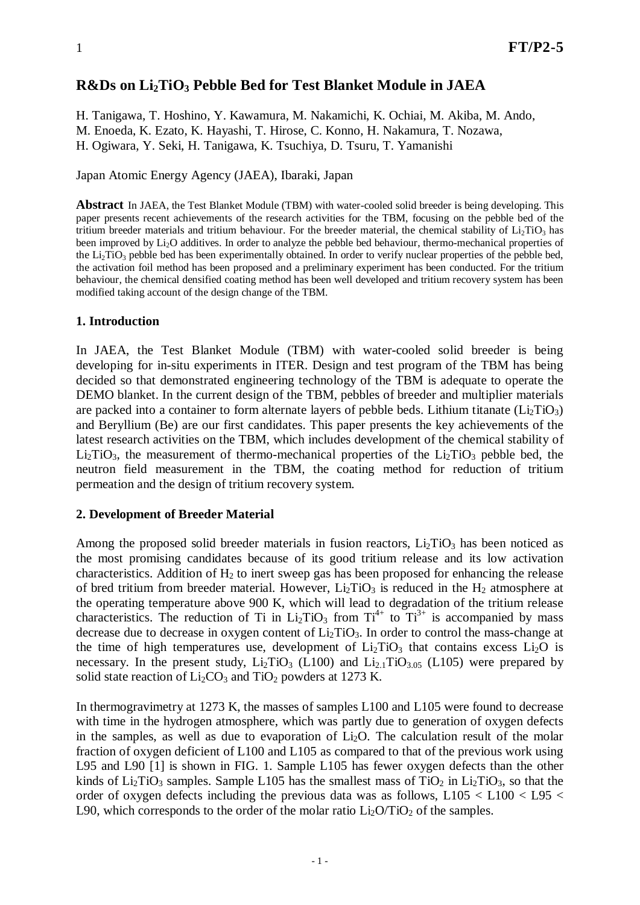# **R&Ds on Li2TiO3 Pebble Bed for Test Blanket Module in JAEA**

H. Tanigawa, T. Hoshino, Y. Kawamura, M. Nakamichi, K. Ochiai, M. Akiba, M. Ando, M. Enoeda, K. Ezato, K. Hayashi, T. Hirose, C. Konno, H. Nakamura, T. Nozawa, H. Ogiwara, Y. Seki, H. Tanigawa, K. Tsuchiya, D. Tsuru, T. Yamanishi

Japan Atomic Energy Agency (JAEA), Ibaraki, Japan

**Abstract** In JAEA, the Test Blanket Module (TBM) with water-cooled solid breeder is being developing. This paper presents recent achievements of the research activities for the TBM, focusing on the pebble bed of the tritium breeder materials and tritium behaviour. For the breeder material, the chemical stability of  $Li<sub>2</sub>TiO<sub>3</sub>$  has been improved by Li2O additives. In order to analyze the pebble bed behaviour, thermo-mechanical properties of the Li<sub>2</sub>TiO<sub>3</sub> pebble bed has been experimentally obtained. In order to verify nuclear properties of the pebble bed, the activation foil method has been proposed and a preliminary experiment has been conducted. For the tritium behaviour, the chemical densified coating method has been well developed and tritium recovery system has been modified taking account of the design change of the TBM.

#### **1. Introduction**

In JAEA, the Test Blanket Module (TBM) with water-cooled solid breeder is being developing for in-situ experiments in ITER. Design and test program of the TBM has being decided so that demonstrated engineering technology of the TBM is adequate to operate the DEMO blanket. In the current design of the TBM, pebbles of breeder and multiplier materials are packed into a container to form alternate layers of pebble beds. Lithium titanate  $(Li_2TiO_3)$ and Beryllium (Be) are our first candidates. This paper presents the key achievements of the latest research activities on the TBM, which includes development of the chemical stability of Li<sub>2</sub>TiO<sub>3</sub>, the measurement of thermo-mechanical properties of the Li<sub>2</sub>TiO<sub>3</sub> pebble bed, the neutron field measurement in the TBM, the coating method for reduction of tritium permeation and the design of tritium recovery system.

## **2. Development of Breeder Material**

Among the proposed solid breeder materials in fusion reactors,  $Li<sub>2</sub>TiO<sub>3</sub>$  has been noticed as the most promising candidates because of its good tritium release and its low activation characteristics. Addition of  $H_2$  to inert sweep gas has been proposed for enhancing the release of bred tritium from breeder material. However,  $Li<sub>2</sub>TiO<sub>3</sub>$  is reduced in the H<sub>2</sub> atmosphere at the operating temperature above 900 K, which will lead to degradation of the tritium release characteristics. The reduction of Ti in  $Li<sub>2</sub>TiO<sub>3</sub>$  from Ti<sup>4+</sup> to Ti<sup>3+</sup> is accompanied by mass decrease due to decrease in oxygen content of  $Li<sub>2</sub>TiO<sub>3</sub>$ . In order to control the mass-change at the time of high temperatures use, development of  $Li<sub>2</sub>TiO<sub>3</sub>$  that contains excess  $Li<sub>2</sub>O$  is necessary. In the present study,  $Li<sub>2</sub>TiO<sub>3</sub>$  (L100) and  $Li<sub>2.1</sub>TiO<sub>3.05</sub>$  (L105) were prepared by solid state reaction of  $Li<sub>2</sub>CO<sub>3</sub>$  and TiO<sub>2</sub> powders at 1273 K.

In thermogravimetry at 1273 K, the masses of samples L100 and L105 were found to decrease with time in the hydrogen atmosphere, which was partly due to generation of oxygen defects in the samples, as well as due to evaporation of  $Li<sub>2</sub>O$ . The calculation result of the molar fraction of oxygen deficient of L100 and L105 as compared to that of the previous work using L95 and L90 [1] is shown in FIG. 1. Sample L105 has fewer oxygen defects than the other kinds of  $Li<sub>2</sub>TiO<sub>3</sub>$  samples. Sample L105 has the smallest mass of TiO<sub>2</sub> in Li<sub>2</sub>TiO<sub>3</sub>, so that the order of oxygen defects including the previous data was as follows,  $L105 < L100 < L95 <$ L90, which corresponds to the order of the molar ratio  $Li<sub>2</sub>O/TiO<sub>2</sub>$  of the samples.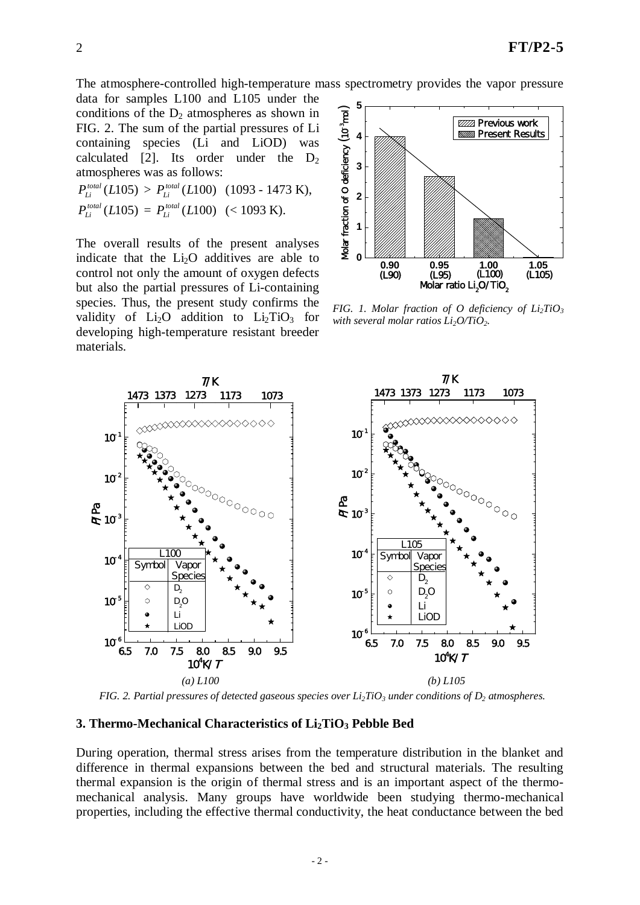The atmosphere-controlled high-temperature mass spectrometry provides the vapor pressure

data for samples L100 and L105 under the conditions of the  $D_2$  atmospheres as shown in FIG. 2. The sum of the partial pressures of Li containing species (Li and LiOD) was calculated [2]. Its order under the  $D_2$ atmospheres was as follows:

$$
P_{Li}^{total}(L105) > P_{Li}^{total}(L100) (1093 - 1473 \text{ K}),
$$
  
\n
$$
P_{Li}^{total}(L105) = P_{Li}^{total}(L100) (< 1093 \text{ K}).
$$

The overall results of the present analyses indicate that the  $Li<sub>2</sub>O$  additives are able to control not only the amount of oxygen defects but also the partial pressures of Li-containing species. Thus, the present study confirms the validity of  $Li<sub>2</sub>O$  addition to  $Li<sub>2</sub>TiO<sub>3</sub>$  for developing high-temperature resistant breeder materials.



*FIG. 1. Molar fraction of O deficiency of*  $Li<sub>2</sub>TiO<sub>3</sub>$ *with several molar ratios*  $Li_2O/TiO_2$ .



*FIG.* 2. *Partial pressures of detected gaseous species over*  $Li_2TiO_3$  *under conditions of*  $D_2$  *atmospheres.* 

#### **3. Thermo-Mechanical Characteristics of Li2TiO3 Pebble Bed**

During operation, thermal stress arises from the temperature distribution in the blanket and difference in thermal expansions between the bed and structural materials. The resulting thermal expansion is the origin of thermal stress and is an important aspect of the thermomechanical analysis. Many groups have worldwide been studying thermo-mechanical properties, including the effective thermal conductivity, the heat conductance between the bed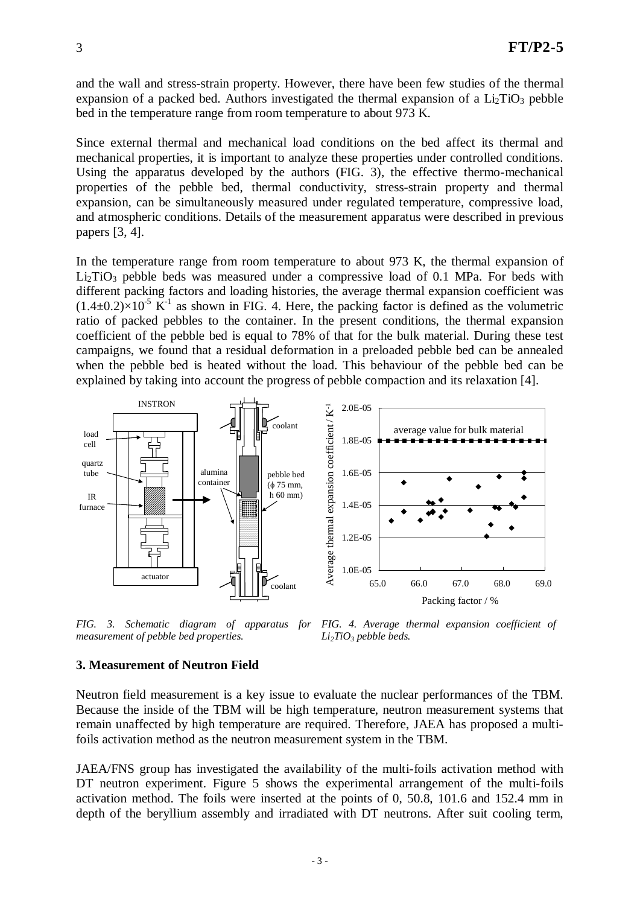and the wall and stress-strain property. However, there have been few studies of the thermal expansion of a packed bed. Authors investigated the thermal expansion of a  $Li<sub>2</sub>TiO<sub>3</sub>$  pebble bed in the temperature range from room temperature to about 973 K.

Since external thermal and mechanical load conditions on the bed affect its thermal and mechanical properties, it is important to analyze these properties under controlled conditions. Using the apparatus developed by the authors (FIG. 3), the effective thermo-mechanical properties of the pebble bed, thermal conductivity, stress-strain property and thermal expansion, can be simultaneously measured under regulated temperature, compressive load, and atmospheric conditions. Details of the measurement apparatus were described in previous papers [3, 4].

In the temperature range from room temperature to about 973 K, the thermal expansion of  $Li<sub>2</sub>TiO<sub>3</sub>$  pebble beds was measured under a compressive load of 0.1 MPa. For beds with different packing factors and loading histories, the average thermal expansion coefficient was  $(1.4\pm0.2)\times10^{-5}$  K<sup>-1</sup> as shown in FIG. 4. Here, the packing factor is defined as the volumetric ratio of packed pebbles to the container. In the present conditions, the thermal expansion coefficient of the pebble bed is equal to 78% of that for the bulk material. During these test campaigns, we found that a residual deformation in a preloaded pebble bed can be annealed when the pebble bed is heated without the load. This behaviour of the pebble bed can be explained by taking into account the progress of pebble compaction and its relaxation [4].



*FIG. 3. Schematic diagram of apparatus for measurement of pebble bed properties. FIG. 4. Average thermal expansion coefficient of Li2TiO3 pebble beds.*

#### **3. Measurement of Neutron Field**

Neutron field measurement is a key issue to evaluate the nuclear performances of the TBM. Because the inside of the TBM will be high temperature, neutron measurement systems that remain unaffected by high temperature are required. Therefore, JAEA has proposed a multifoils activation method as the neutron measurement system in the TBM.

JAEA/FNS group has investigated the availability of the multi-foils activation method with DT neutron experiment. Figure 5 shows the experimental arrangement of the multi-foils activation method. The foils were inserted at the points of 0, 50.8, 101.6 and 152.4 mm in depth of the beryllium assembly and irradiated with DT neutrons. After suit cooling term,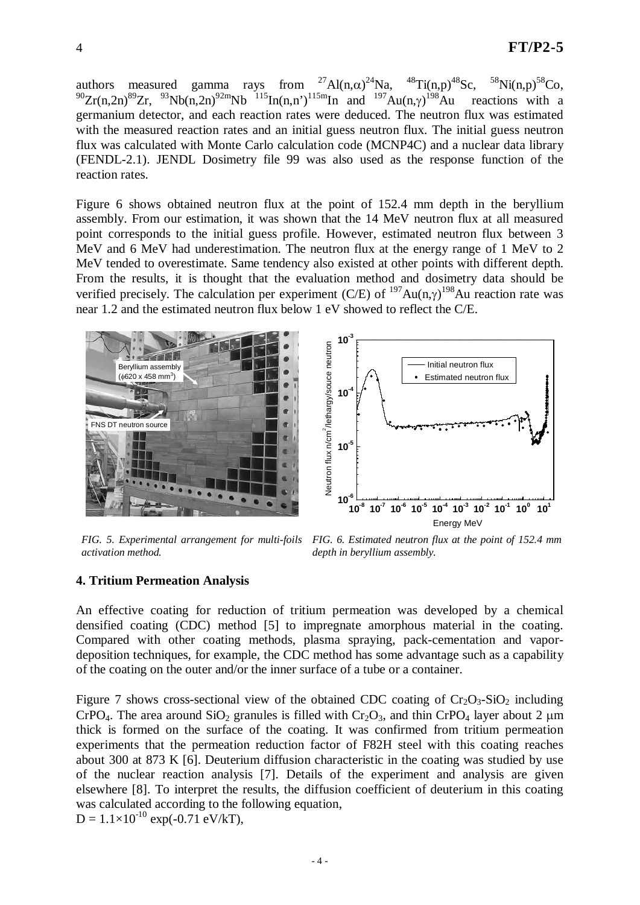authors measured gamma rays from  $^{27}$ Al(n, $\alpha$ )<sup>24</sup>Na, <sup>48</sup>Ti(n,p)<sup>48</sup>Sc, <sup>58</sup>  $\text{Ni}(n,p)^{58}\text{Co}$ ,  $^{90}Zr(n,2n)^{89}Zr$ ,  $^{93}Nb(n,2n)^{92m}Nb$   $^{115}In(n,n')$   $^{115m}In$  and  $^{197}Au(n,\gamma)^{198}$ reactions with a germanium detector, and each reaction rates were deduced. The neutron flux was estimated with the measured reaction rates and an initial guess neutron flux. The initial guess neutron flux was calculated with Monte Carlo calculation code (MCNP4C) and a nuclear data library (FENDL-2.1). JENDL Dosimetry file 99 was also used as the response function of the reaction rates.

Figure 6 shows obtained neutron flux at the point of 152.4 mm depth in the beryllium assembly. From our estimation, it was shown that the 14 MeV neutron flux at all measured point corresponds to the initial guess profile. However, estimated neutron flux between 3 MeV and 6 MeV had underestimation. The neutron flux at the energy range of 1 MeV to 2 MeV tended to overestimate. Same tendency also existed at other points with different depth. From the results, it is thought that the evaluation method and dosimetry data should be verified precisely. The calculation per experiment (C/E) of  $197Au(n,\gamma)^{198}Au$  reaction rate was near 1.2 and the estimated neutron flux below 1 eV showed to reflect the C/E.



*FIG. 5. Experimental arrangement for multi-foils activation method.*

*FIG. 6. Estimated neutron flux at the point of 152.4 mm depth in beryllium assembly.*

## **4. Tritium Permeation Analysis**

An effective coating for reduction of tritium permeation was developed by a chemical densified coating (CDC) method [5] to impregnate amorphous material in the coating. Compared with other coating methods, plasma spraying, pack-cementation and vapordeposition techniques, for example, the CDC method has some advantage such as a capability of the coating on the outer and/or the inner surface of a tube or a container.

Figure 7 shows cross-sectional view of the obtained CDC coating of  $Cr_2O_3-SiO_2$  including CrPO<sub>4</sub>. The area around SiO<sub>2</sub> granules is filled with Cr<sub>2</sub>O<sub>3</sub>, and thin CrPO<sub>4</sub> layer about 2  $\mu$ m thick is formed on the surface of the coating. It was confirmed from tritium permeation experiments that the permeation reduction factor of F82H steel with this coating reaches about 300 at 873 K [6]. Deuterium diffusion characteristic in the coating was studied by use of the nuclear reaction analysis [7]. Details of the experiment and analysis are given elsewhere [8]. To interpret the results, the diffusion coefficient of deuterium in this coating was calculated according to the following equation,  $D = 1.1 \times 10^{-10}$  exp(-0.71 eV/kT),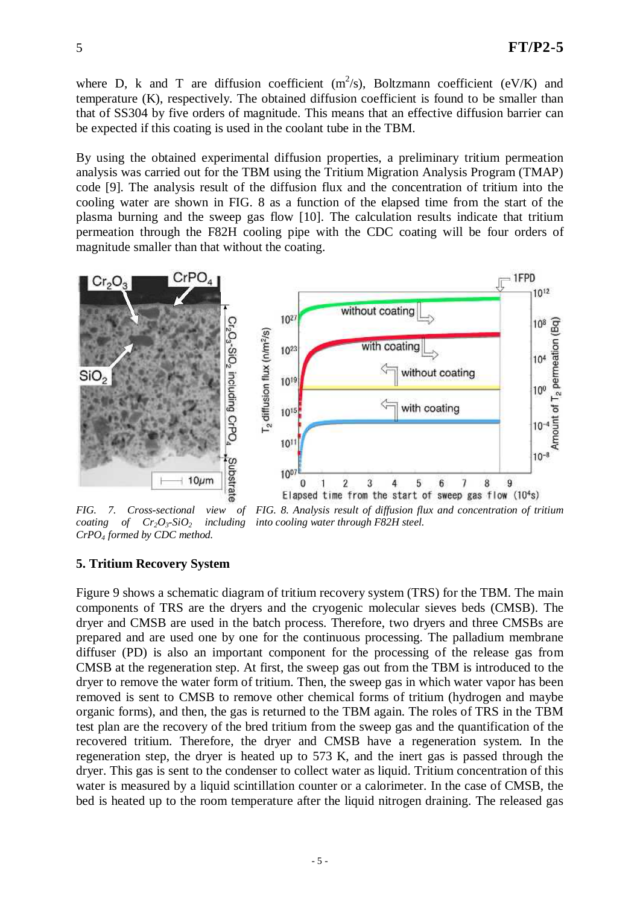where D, k and T are diffusion coefficient  $(m^2/s)$ , Boltzmann coefficient  $(eV/K)$  and temperature (K), respectively. The obtained diffusion coefficient is found to be smaller than that of SS304 by five orders of magnitude. This means that an effective diffusion barrier can be expected if this coating is used in the coolant tube in the TBM.

By using the obtained experimental diffusion properties, a preliminary tritium permeation analysis was carried out for the TBM using the Tritium Migration Analysis Program (TMAP) code [9]. The analysis result of the diffusion flux and the concentration of tritium into the cooling water are shown in FIG. 8 as a function of the elapsed time from the start of the plasma burning and the sweep gas flow [10]. The calculation results indicate that tritium permeation through the F82H cooling pipe with the CDC coating will be four orders of magnitude smaller than that without the coating.



*FIG. 7. Cross-sectional view of coating of Cr2O3-SiO2 including CrPO4 formed by CDC method. FIG. 8. Analysis result of diffusion flux and concentration of tritium into cooling water through F82H steel.*

#### **5. Tritium Recovery System**

Figure 9 shows a schematic diagram of tritium recovery system (TRS) for the TBM. The main components of TRS are the dryers and the cryogenic molecular sieves beds (CMSB). The dryer and CMSB are used in the batch process. Therefore, two dryers and three CMSBs are prepared and are used one by one for the continuous processing. The palladium membrane diffuser (PD) is also an important component for the processing of the release gas from CMSB at the regeneration step. At first, the sweep gas out from the TBM is introduced to the dryer to remove the water form of tritium. Then, the sweep gas in which water vapor has been removed is sent to CMSB to remove other chemical forms of tritium (hydrogen and maybe organic forms), and then, the gas is returned to the TBM again. The roles of TRS in the TBM test plan are the recovery of the bred tritium from the sweep gas and the quantification of the recovered tritium. Therefore, the dryer and CMSB have a regeneration system. In the regeneration step, the dryer is heated up to 573 K, and the inert gas is passed through the dryer. This gas is sent to the condenser to collect water as liquid. Tritium concentration of this water is measured by a liquid scintillation counter or a calorimeter. In the case of CMSB, the bed is heated up to the room temperature after the liquid nitrogen draining. The released gas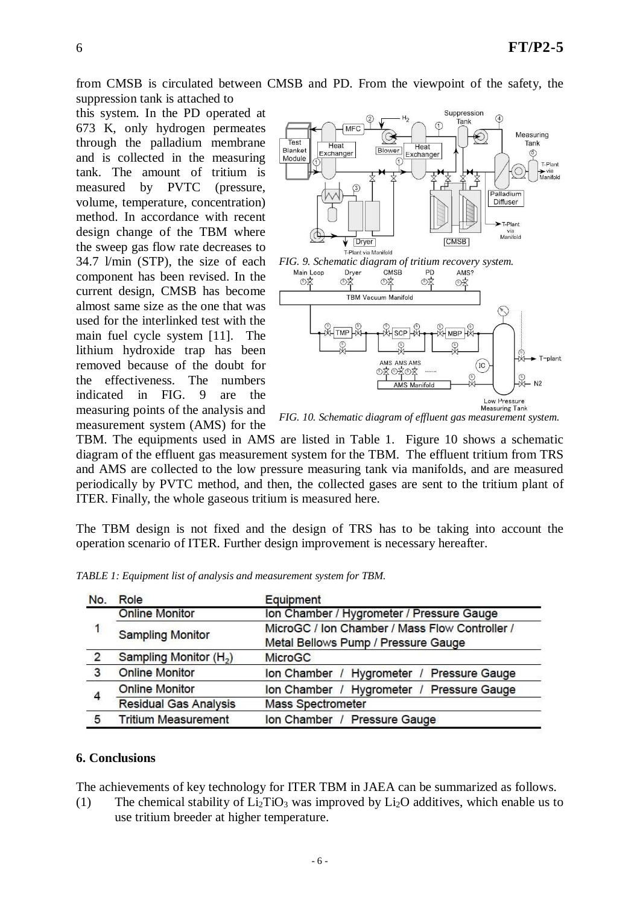from CMSB is circulated between CMSB and PD. From the viewpoint of the safety, the suppression tank is attached to

this system. In the PD operated at 673 K, only hydrogen permeates through the palladium membrane and is collected in the measuring tank. The amount of tritium is measured by PVTC (pressure, volume, temperature, concentration) method. In accordance with recent design change of the TBM where the sweep gas flow rate decreases to 34.7 l/min (STP), the size of each component has been revised. In the current design, CMSB has become almost same size as the one that was used for the interlinked test with the main fuel cycle system [11]. The lithium hydroxide trap has been removed because of the doubt for the effectiveness. The numbers indicated in FIG. 9 are the measuring points of the analysis and measurement system (AMS) for the



*FIG. 10. Schematic diagram of effluent gas measurement system.*

TBM. The equipments used in AMS are listed in Table 1. Figure 10 shows a schematic diagram of the effluent gas measurement system for the TBM. The effluent tritium from TRS and AMS are collected to the low pressure measuring tank via manifolds, and are measured periodically by PVTC method, and then, the collected gases are sent to the tritium plant of ITER. Finally, the whole gaseous tritium is measured here.

The TBM design is not fixed and the design of TRS has to be taking into account the operation scenario of ITER. Further design improvement is necessary hereafter.

| No.            | Role                               | Equipment                                           |
|----------------|------------------------------------|-----------------------------------------------------|
| 1              | <b>Online Monitor</b>              | Ion Chamber / Hygrometer / Pressure Gauge           |
|                | <b>Sampling Monitor</b>            | MicroGC / Ion Chamber / Mass Flow Controller /      |
|                |                                    | Metal Bellows Pump / Pressure Gauge                 |
| $\overline{2}$ | Sampling Monitor (H <sub>2</sub> ) | <b>MicroGC</b>                                      |
| 3              | <b>Online Monitor</b>              | <b>Pressure Gauge</b><br>Ion Chamber / Hygrometer / |
| 4              | <b>Online Monitor</b>              | Ion Chamber / Hygrometer / Pressure Gauge           |
|                | <b>Residual Gas Analysis</b>       | <b>Mass Spectrometer</b>                            |
| 5              | <b>Tritium Measurement</b>         | Ion Chamber / Pressure Gauge                        |

*TABLE 1: Equipment list of analysis and measurement system for TBM.*

## **6. Conclusions**

The achievements of key technology for ITER TBM in JAEA can be summarized as follows.

(1) The chemical stability of  $Li_2TiO_3$  was improved by  $Li_2O$  additives, which enable us to use tritium breeder at higher temperature.